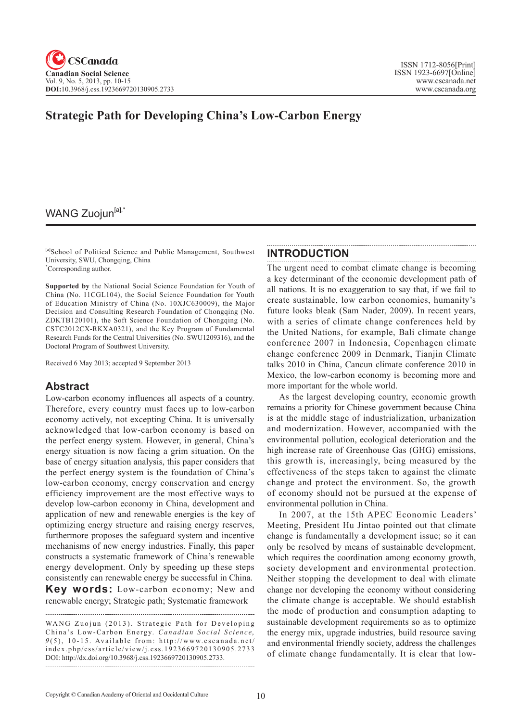# **Strategic Path for Developing China's Low-Carbon Energy**

### WANG Zuojun<sup>[a],\*</sup>

[a]School of Political Science and Public Management, Southwest University, SWU, Chongqing, China \* Corresponding author.

#### **INTRODUCTION**

**Supported by** the National Social Science Foundation for Youth of China (No. 11CGL104), the Social Science Foundation for Youth of Education Ministry of China (No. 10XJC630009), the Major Decision and Consulting Research Foundation of Chongqing (No. ZDKTB120101), the Soft Science Foundation of Chongqing (No. CSTC2012CX-RKXA0321), and the Key Program of Fundamental Research Funds for the Central Universities (No. SWU1209316), and the Doctoral Program of Southwest University.

Received 6 May 2013; accepted 9 September 2013

### **Abstract**

Low-carbon economy influences all aspects of a country. Therefore, every country must faces up to low-carbon economy actively, not excepting China. It is universally acknowledged that low-carbon economy is based on the perfect energy system. However, in general, China's energy situation is now facing a grim situation. On the base of energy situation analysis, this paper considers that the perfect energy system is the foundation of China's low-carbon economy, energy conservation and energy efficiency improvement are the most effective ways to develop low-carbon economy in China, development and application of new and renewable energies is the key of optimizing energy structure and raising energy reserves, furthermore proposes the safeguard system and incentive mechanisms of new energy industries. Finally, this paper constructs a systematic framework of China's renewable energy development. Only by speeding up these steps consistently can renewable energy be successful in China.

**Key words:** Low-carbon economy; New and renewable energy; Strategic path; Systematic framework  The urgent need to combat climate change is becoming a key determinant of the economic development path of all nations. It is no exaggeration to say that, if we fail to create sustainable, low carbon economies, humanity's future looks bleak (Sam Nader, 2009). In recent years, with a series of climate change conferences held by the United Nations, for example, Bali climate change conference 2007 in Indonesia, Copenhagen climate change conference 2009 in Denmark, Tianjin Climate talks 2010 in China, Cancun climate conference 2010 in Mexico, the low-carbon economy is becoming more and more important for the whole world.

As the largest developing country, economic growth remains a priority for Chinese government because China is at the middle stage of industrialization, urbanization and modernization. However, accompanied with the environmental pollution, ecological deterioration and the high increase rate of Greenhouse Gas (GHG) emissions, this growth is, increasingly, being measured by the effectiveness of the steps taken to against the climate change and protect the environment. So, the growth of economy should not be pursued at the expense of environmental pollution in China.

In 2007, at the 15th APEC Economic Leaders' Meeting, President Hu Jintao pointed out that climate change is fundamentally a development issue; so it can only be resolved by means of sustainable development, which requires the coordination among economy growth, society development and environmental protection. Neither stopping the development to deal with climate change nor developing the economy without considering the climate change is acceptable. We should establish the mode of production and consumption adapting to sustainable development requirements so as to optimize the energy mix, upgrade industries, build resource saving and environmental friendly society, address the challenges of climate change fundamentally. It is clear that low-

WANG Zuojun (2013). Strategic Path for Developing China's Low-Carbon Energy. *Canadian Social Science*,  $9(5)$ , 10-15. Available from: http://www.cscanada.net/ index.php/css/article/view/j.css.1923669720130905.2733 DOI: http://dx.doi.org/10.3968/j.css.1923669720130905.2733.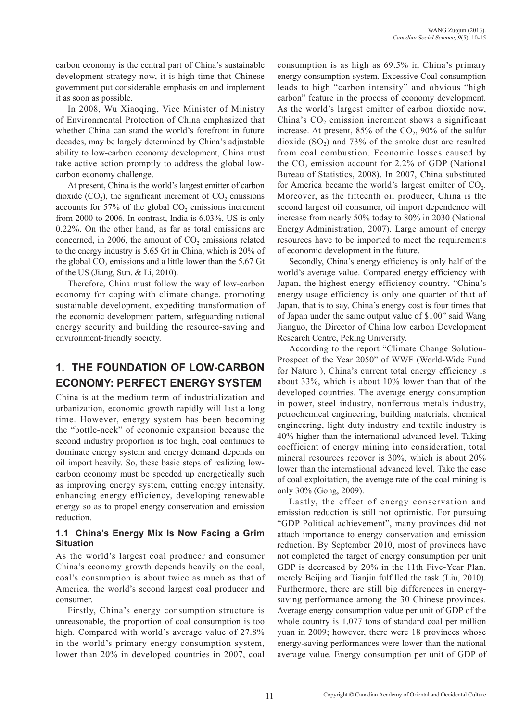carbon economy is the central part of China's sustainable development strategy now, it is high time that Chinese government put considerable emphasis on and implement it as soon as possible.

In 2008, Wu Xiaoqing, Vice Minister of Ministry of Environmental Protection of China emphasized that whether China can stand the world's forefront in future decades, may be largely determined by China's adjustable ability to low-carbon economy development, China must take active action promptly to address the global lowcarbon economy challenge.

At present, China is the world's largest emitter of carbon dioxide  $(CO_2)$ , the significant increment of  $CO_2$  emissions accounts for 57% of the global  $CO<sub>2</sub>$  emissions increment from 2000 to 2006. In contrast, India is 6.03%, US is only 0.22%. On the other hand, as far as total emissions are concerned, in  $2006$ , the amount of  $CO<sub>2</sub>$  emissions related to the energy industry is 5.65 Gt in China, which is 20% of the global  $CO<sub>2</sub>$  emissions and a little lower than the 5.67 Gt of the US (Jiang, Sun. & Li, 2010).

Therefore, China must follow the way of low-carbon economy for coping with climate change, promoting sustainable development, expediting transformation of the economic development pattern, safeguarding national energy security and building the resource-saving and environment-friendly society.

# **1. THE FOUNDATION OF LOW-CARBON ECONOMY: PERFECT ENERGY SYSTEM**

China is at the medium term of industrialization and urbanization, economic growth rapidly will last a long time. However, energy system has been becoming the "bottle-neck" of economic expansion because the second industry proportion is too high, coal continues to dominate energy system and energy demand depends on oil import heavily. So, these basic steps of realizing lowcarbon economy must be speeded up energetically such as improving energy system, cutting energy intensity, enhancing energy efficiency, developing renewable energy so as to propel energy conservation and emission reduction.

#### **1.1 China's Energy Mix Is Now Facing a Grim Situation**

As the world's largest coal producer and consumer China's economy growth depends heavily on the coal, coal's consumption is about twice as much as that of America, the world's second largest coal producer and consumer.

Firstly, China's energy consumption structure is unreasonable, the proportion of coal consumption is too high. Compared with world's average value of 27.8% in the world's primary energy consumption system, lower than 20% in developed countries in 2007, coal consumption is as high as 69.5% in China's primary energy consumption system. Excessive Coal consumption leads to high "carbon intensity" and obvious "high carbon" feature in the process of economy development. As the world's largest emitter of carbon dioxide now, China's CO<sub>2</sub> emission increment shows a significant increase. At present,  $85\%$  of the CO<sub>2</sub>,  $90\%$  of the sulfur dioxide  $(SO<sub>2</sub>)$  and 73% of the smoke dust are resulted from coal combustion. Economic losses caused by the  $CO<sub>2</sub>$  emission account for 2.2% of GDP (National Bureau of Statistics, 2008). In 2007, China substituted for America became the world's largest emitter of  $CO<sub>2</sub>$ . Moreover, as the fifteenth oil producer, China is the second largest oil consumer, oil import dependence will increase from nearly 50% today to 80% in 2030 (National Energy Administration, 2007). Large amount of energy resources have to be imported to meet the requirements of economic development in the future.

Secondly, China's energy efficiency is only half of the world's average value. Compared energy efficiency with Japan, the highest energy efficiency country, "China's energy usage efficiency is only one quarter of that of Japan, that is to say, China's energy cost is four times that of Japan under the same output value of \$100" said Wang Jianguo, the Director of China low carbon Development Research Centre, Peking University.

According to the report "Climate Change Solution-Prospect of the Year 2050" of WWF (World-Wide Fund for Nature ), China's current total energy efficiency is about 33%, which is about 10% lower than that of the developed countries. The average energy consumption in power, steel industry, nonferrous metals industry, petrochemical engineering, building materials, chemical engineering, light duty industry and textile industry is 40% higher than the international advanced level. Taking coefficient of energy mining into consideration, total mineral resources recover is 30%, which is about 20% lower than the international advanced level. Take the case of coal exploitation, the average rate of the coal mining is only 30% (Gong, 2009).

Lastly, the effect of energy conservation and emission reduction is still not optimistic. For pursuing "GDP Political achievement", many provinces did not attach importance to energy conservation and emission reduction. By September 2010, most of provinces have not completed the target of energy consumption per unit GDP is decreased by 20% in the 11th Five-Year Plan, merely Beijing and Tianjin fulfilled the task (Liu, 2010). Furthermore, there are still big differences in energysaving performance among the 30 Chinese provinces. Average energy consumption value per unit of GDP of the whole country is 1.077 tons of standard coal per million yuan in 2009; however, there were 18 provinces whose energy-saving performances were lower than the national average value. Energy consumption per unit of GDP of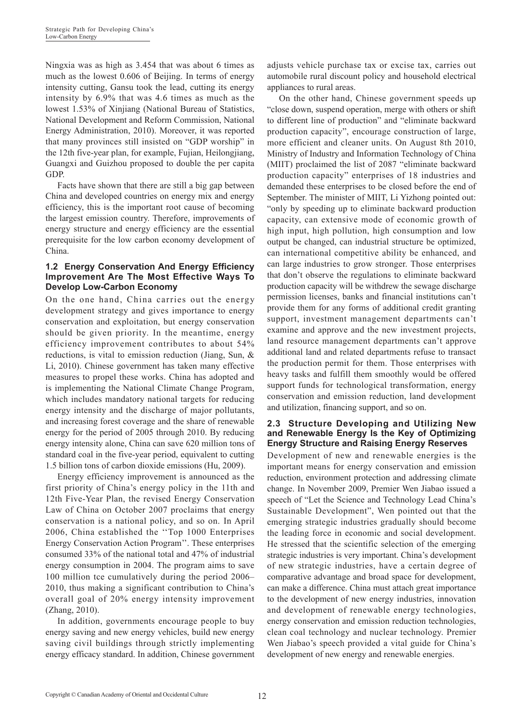Ningxia was as high as 3.454 that was about 6 times as much as the lowest 0.606 of Beijing. In terms of energy intensity cutting, Gansu took the lead, cutting its energy intensity by 6.9% that was 4.6 times as much as the lowest 1.53% of Xinjiang (National Bureau of Statistics, National Development and Reform Commission, National Energy Administration, 2010). Moreover, it was reported that many provinces still insisted on "GDP worship" in the 12th five-year plan, for example, Fujian, Heilongjiang, Guangxi and Guizhou proposed to double the per capita GDP.

Facts have shown that there are still a big gap between China and developed countries on energy mix and energy efficiency, this is the important root cause of becoming the largest emission country. Therefore, improvements of energy structure and energy efficiency are the essential prerequisite for the low carbon economy development of China.

#### **1.2 Energy Conservation And Energy Efficiency Improvement Are The Most Effective Ways To Develop Low-Carbon Economy**

On the one hand, China carries out the energy development strategy and gives importance to energy conservation and exploitation, but energy conservation should be given priority. In the meantime, energy efficiency improvement contributes to about 54% reductions, is vital to emission reduction (Jiang, Sun, & Li, 2010). Chinese government has taken many effective measures to propel these works. China has adopted and is implementing the National Climate Change Program, which includes mandatory national targets for reducing energy intensity and the discharge of major pollutants, and increasing forest coverage and the share of renewable energy for the period of 2005 through 2010. By reducing energy intensity alone, China can save 620 million tons of standard coal in the five-year period, equivalent to cutting 1.5 billion tons of carbon dioxide emissions (Hu, 2009).

Energy efficiency improvement is announced as the first priority of China's energy policy in the 11th and 12th Five-Year Plan, the revised Energy Conservation Law of China on October 2007 proclaims that energy conservation is a national policy, and so on. In April 2006, China established the ''Top 1000 Enterprises Energy Conservation Action Program''. These enterprises consumed 33% of the national total and 47% of industrial energy consumption in 2004. The program aims to save 100 million tce cumulatively during the period 2006– 2010, thus making a significant contribution to China's overall goal of 20% energy intensity improvement (Zhang, 2010).

In addition, governments encourage people to buy energy saving and new energy vehicles, build new energy saving civil buildings through strictly implementing energy efficacy standard. In addition, Chinese government adjusts vehicle purchase tax or excise tax, carries out automobile rural discount policy and household electrical appliances to rural areas.

On the other hand, Chinese government speeds up "close down, suspend operation, merge with others or shift to different line of production" and "eliminate backward production capacity", encourage construction of large, more efficient and cleaner units. On August 8th 2010, Ministry of Industry and Information Technology of China (MIIT) proclaimed the list of 2087 "eliminate backward production capacity" enterprises of 18 industries and demanded these enterprises to be closed before the end of September. The minister of MIIT, Li Yizhong pointed out: "only by speeding up to eliminate backward production capacity, can extensive mode of economic growth of high input, high pollution, high consumption and low output be changed, can industrial structure be optimized, can international competitive ability be enhanced, and can large industries to grow stronger. Those enterprises that don't observe the regulations to eliminate backward production capacity will be withdrew the sewage discharge permission licenses, banks and financial institutions can't provide them for any forms of additional credit granting support, investment management departments can't examine and approve and the new investment projects, land resource management departments can't approve additional land and related departments refuse to transact the production permit for them. Those enterprises with heavy tasks and fulfill them smoothly would be offered support funds for technological transformation, energy conservation and emission reduction, land development and utilization, financing support, and so on.

#### **2.3 Structure Developing and Utilizing New and Renewable Energy Is the Key of Optimizing Energy Structure and Raising Energy Reserves**

Development of new and renewable energies is the important means for energy conservation and emission reduction, environment protection and addressing climate change. In November 2009, Premier Wen Jiabao issued a speech of "Let the Science and Technology Lead China's Sustainable Development", Wen pointed out that the emerging strategic industries gradually should become the leading force in economic and social development. He stressed that the scientific selection of the emerging strategic industries is very important. China's development of new strategic industries, have a certain degree of comparative advantage and broad space for development, can make a difference. China must attach great importance to the development of new energy industries, innovation and development of renewable energy technologies, energy conservation and emission reduction technologies, clean coal technology and nuclear technology. Premier Wen Jiabao's speech provided a vital guide for China's development of new energy and renewable energies.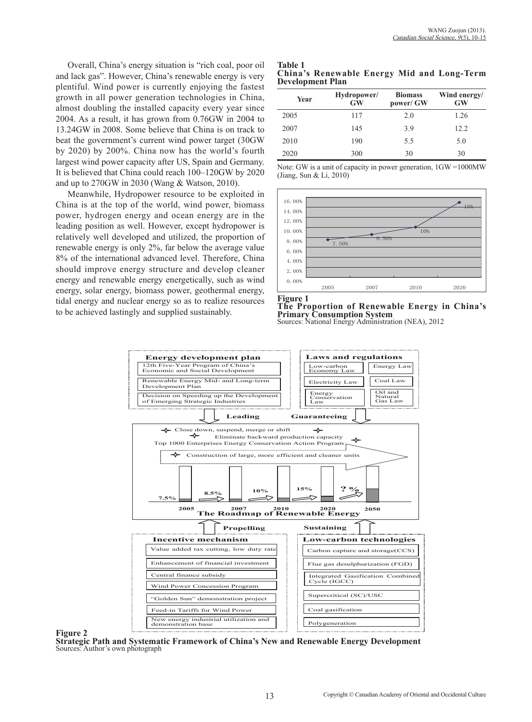Overall, China's energy situation is "rich coal, poor oil and lack gas". However, China's renewable energy is very plentiful. Wind power is currently enjoying the fastest growth in all power generation technologies in China, almost doubling the installed capacity every year since 2004. As a result, it has grown from 0.76GW in 2004 to 13.24GW in 2008. Some believe that China is on track to beat the government's current wind power target (30GW by 2020) by 200%. China now has the world's fourth largest wind power capacity after US, Spain and Germany. It is believed that China could reach 100–120GW by 2020 and up to 270GW in 2030 (Wang & Watson, 2010).

Meanwhile, Hydropower resource to be exploited in China is at the top of the world, wind power, biomass power, hydrogen energy and ocean energy are in the leading position as well. However, except hydropower is relatively well developed and utilized, the proportion of renewable energy is only 2%, far below the average value 8% of the international advanced level. Therefore, China should improve energy structure and develop cleaner energy and renewable energy energetically, such as wind energy, solar energy, biomass power, geothermal energy, tidal energy and nuclear energy so as to realize resources to be achieved lastingly and supplied sustainably.

| <b>Table 1</b> |                         |  |                                            |
|----------------|-------------------------|--|--------------------------------------------|
|                |                         |  | China's Renewable Energy Mid and Long-Term |
|                | <b>Development Plan</b> |  |                                            |

| Year | Hydropower/<br><b>GW</b> | <b>Biomass</b><br>power/ GW | Wind energy/<br><b>GW</b> |
|------|--------------------------|-----------------------------|---------------------------|
| 2005 | 117                      | 2.0                         | 1.26                      |
| 2007 | 145                      | 3.9                         | 12.2                      |
| 2010 | 190                      | 5.5                         | 5.0                       |
| 2020 | 300                      | 30                          | 30                        |

Note: GW is a unit of capacity in power generation, 1GW =1000MW (Jiang, Sun & Li, 2010)







#### **Figure 2**

**Strategic Path and Systematic Framework of China's New and Renewable Energy Development** Sources: Author's own photograph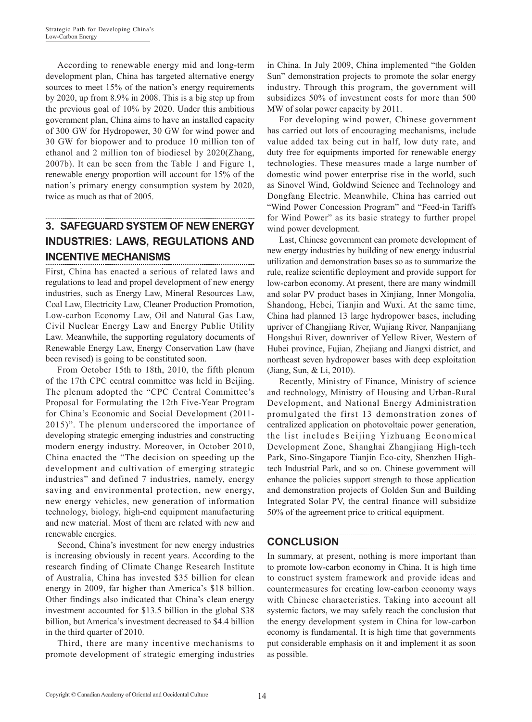According to renewable energy mid and long-term development plan, China has targeted alternative energy sources to meet 15% of the nation's energy requirements by 2020, up from 8.9% in 2008. This is a big step up from the previous goal of 10% by 2020. Under this ambitious government plan, China aims to have an installed capacity of 300 GW for Hydropower, 30 GW for wind power and 30 GW for biopower and to produce 10 million ton of ethanol and 2 million ton of biodiesel by 2020(Zhang, 2007b). It can be seen from the Table 1 and Figure 1, renewable energy proportion will account for 15% of the nation's primary energy consumption system by 2020, twice as much as that of 2005.

# **3. SAFEGUARD SYSTEM OF NEW ENERGY INDUSTRIES: LAWS, REGULATIONS AND INCENTIVE MECHANISMS**

First, China has enacted a serious of related laws and regulations to lead and propel development of new energy industries, such as Energy Law, Mineral Resources Law, Coal Law, Electricity Law, Cleaner Production Promotion, Low-carbon Economy Law, Oil and Natural Gas Law, Civil Nuclear Energy Law and Energy Public Utility Law. Meanwhile, the supporting regulatory documents of Renewable Energy Law, Energy Conservation Law (have been revised) is going to be constituted soon.

From October 15th to 18th, 2010, the fifth plenum of the 17th CPC central committee was held in Beijing. The plenum adopted the "CPC Central Committee's Proposal for Formulating the 12th Five-Year Program for China's Economic and Social Development (2011- 2015)". The plenum underscored the importance of developing strategic emerging industries and constructing modern energy industry. Moreover, in October 2010, China enacted the "The decision on speeding up the development and cultivation of emerging strategic industries" and defined 7 industries, namely, energy saving and environmental protection, new energy, new energy vehicles, new generation of information technology, biology, high-end equipment manufacturing and new material. Most of them are related with new and renewable energies.

Second, China's investment for new energy industries is increasing obviously in recent years. According to the research finding of Climate Change Research Institute of Australia, China has invested \$35 billion for clean energy in 2009, far higher than America's \$18 billion. Other findings also indicated that China's clean energy investment accounted for \$13.5 billion in the global \$38 billion, but America's investment decreased to \$4.4 billion in the third quarter of 2010.

Third, there are many incentive mechanisms to promote development of strategic emerging industries

in China. In July 2009, China implemented "the Golden Sun" demonstration projects to promote the solar energy industry. Through this program, the government will subsidizes 50% of investment costs for more than 500 MW of solar power capacity by 2011.

For developing wind power, Chinese government has carried out lots of encouraging mechanisms, include value added tax being cut in half, low duty rate, and duty free for equipments imported for renewable energy technologies. These measures made a large number of domestic wind power enterprise rise in the world, such as Sinovel Wind, Goldwind Science and Technology and Dongfang Electric. Meanwhile, China has carried out "Wind Power Concession Program" and "Feed-in Tariffs for Wind Power" as its basic strategy to further propel wind power development.

Last, Chinese government can promote development of new energy industries by building of new energy industrial utilization and demonstration bases so as to summarize the rule, realize scientific deployment and provide support for low-carbon economy. At present, there are many windmill and solar PV product bases in Xinjiang, Inner Mongolia, Shandong, Hebei, Tianjin and Wuxi. At the same time, China had planned 13 large hydropower bases, including upriver of Changjiang River, Wujiang River, Nanpanjiang Hongshui River, downriver of Yellow River, Western of Hubei province, Fujian, Zhejiang and Jiangxi district, and northeast seven hydropower bases with deep exploitation (Jiang, Sun, & Li, 2010).

Recently, Ministry of Finance, Ministry of science and technology, Ministry of Housing and Urban-Rural Development, and National Energy Administration promulgated the first 13 demonstration zones of centralized application on photovoltaic power generation, the list includes Beijing Yizhuang Economical Development Zone, Shanghai Zhangjiang High-tech Park, Sino-Singapore Tianjin Eco-city, Shenzhen Hightech Industrial Park, and so on. Chinese government will enhance the policies support strength to those application and demonstration projects of Golden Sun and Building Integrated Solar PV, the central finance will subsidize 50% of the agreement price to critical equipment.

## **CONCLUSION**

In summary, at present, nothing is more important than to promote low-carbon economy in China. It is high time to construct system framework and provide ideas and countermeasures for creating low-carbon economy ways with Chinese characteristics. Taking into account all systemic factors, we may safely reach the conclusion that the energy development system in China for low-carbon economy is fundamental. It is high time that governments put considerable emphasis on it and implement it as soon as possible.